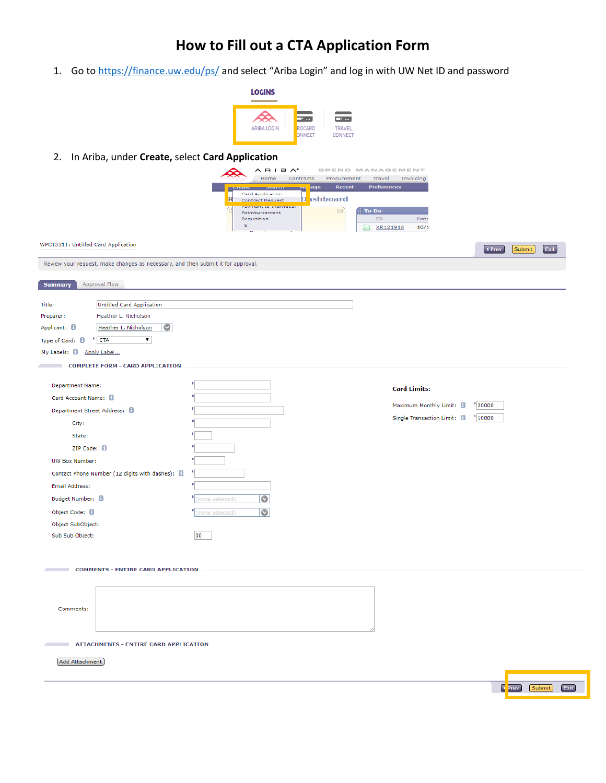# **How to Fill out a CTA Application Form**

1. Go to<https://finance.uw.edu/ps/> and select "Ariba Login" and log in with UW Net ID and password

| <b>LOGINS</b>      |                           |                                                    |
|--------------------|---------------------------|----------------------------------------------------|
| <b>ARIBA LOGIN</b> | o<br><br>ROCARD<br>ONNECT | $\ddotsc$<br>—™<br><b>TRAVEL</b><br><b>CONNECT</b> |

2. In Ariba, under **Create,** select **Card Application**

|                                                                                  | $A$ $B$ $B$ $A^*$<br>Home<br>Procurement<br>Contracts                                          | SPEND MANAGEMENT<br>Travel<br>Invoicing |                                                            |
|----------------------------------------------------------------------------------|------------------------------------------------------------------------------------------------|-----------------------------------------|------------------------------------------------------------|
|                                                                                  | Recent<br>age                                                                                  | Preferences                             |                                                            |
|                                                                                  | Card Application<br>R<br>D <b>ashboard</b><br><b>Contract Request</b><br>Payment to Individual |                                         |                                                            |
|                                                                                  | $\boxtimes$<br>Reimbursement<br>Requisition                                                    | To Do<br>ID<br>Date                     |                                                            |
|                                                                                  | $\boldsymbol{z}$                                                                               | XR121918<br>10/1<br>n                   |                                                            |
| WPC13311: Untitled Card Application                                              |                                                                                                |                                         | 4 Prev<br>Exit<br>Submit                                   |
| Review your request, make changes as necessary, and then submit it for approval. |                                                                                                |                                         |                                                            |
| Approval Flow<br><b>Summary</b>                                                  |                                                                                                |                                         |                                                            |
|                                                                                  |                                                                                                |                                         |                                                            |
| Untitled Card Application<br>Title:<br>Heather L. Nicholson<br>Preparer:         |                                                                                                |                                         |                                                            |
| Applicant: <b>El</b><br>O<br>Heather L. Nicholson                                |                                                                                                |                                         |                                                            |
| $*$ CTA<br>$\pmb{\mathrm{v}}$<br>Type of Card: 0                                 |                                                                                                |                                         |                                                            |
| My Labels: 8 Apply Label                                                         |                                                                                                |                                         |                                                            |
| <b>COMPLETE FORM - CARD APPLICATION</b>                                          |                                                                                                |                                         |                                                            |
|                                                                                  |                                                                                                |                                         |                                                            |
| <b>Department Name:</b>                                                          |                                                                                                | <b>Card Limits:</b>                     |                                                            |
| Card Account Name: <b>B</b>                                                      |                                                                                                | Maximum Monthly Limit: 8                | $^{\circ}$ 20000                                           |
| Department Street Address: 8                                                     |                                                                                                | Single Transaction Limit: <b>D</b>      | $^* 10000$                                                 |
| City:                                                                            |                                                                                                |                                         |                                                            |
| State:                                                                           |                                                                                                |                                         |                                                            |
| ZIP Code: 8                                                                      |                                                                                                |                                         |                                                            |
| UW Box Number:                                                                   |                                                                                                |                                         |                                                            |
| Contact Phone Number (12 digits with dashes): 8                                  |                                                                                                |                                         |                                                            |
| <b>Email Address:</b>                                                            |                                                                                                |                                         |                                                            |
| Budget Number: 8                                                                 | $\bullet$<br>(none selected)                                                                   |                                         |                                                            |
| Object Code: 8                                                                   | O<br>(none selected)                                                                           |                                         |                                                            |
| Object SubObject:                                                                |                                                                                                |                                         |                                                            |
| Sub Sub Object:                                                                  | 00                                                                                             |                                         |                                                            |
|                                                                                  |                                                                                                |                                         |                                                            |
| <b>COMMENTS - ENTIRE CARD APPLICATION</b><br><b>Contract Contract</b>            |                                                                                                |                                         |                                                            |
|                                                                                  |                                                                                                |                                         |                                                            |
|                                                                                  |                                                                                                |                                         |                                                            |
| Comments:                                                                        |                                                                                                |                                         |                                                            |
|                                                                                  |                                                                                                |                                         |                                                            |
|                                                                                  |                                                                                                |                                         |                                                            |
| <b>ATTACHMENTS - ENTIRE CARD APPLICATION</b>                                     |                                                                                                |                                         |                                                            |
| Add Attachment                                                                   |                                                                                                |                                         |                                                            |
|                                                                                  |                                                                                                |                                         |                                                            |
|                                                                                  |                                                                                                |                                         | $\lceil \cdot \rceil$ <sup>2</sup> rev<br>Exit<br>[Submit] |
|                                                                                  |                                                                                                |                                         |                                                            |
|                                                                                  |                                                                                                |                                         |                                                            |